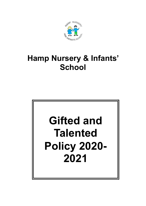

# Hamp Nursery & Infants' **School**

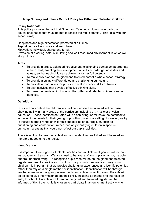# Hamp Nursery and Infants School Policy for Gifted and Talented Children

### Policy Rationale

This policy promotes the fact that Gifted and Talented children have particular educational needs that must be met to realise their full potential. This links with our school aims;

Happiness and high expectation promoted at all times.

Aspiration for all who work and learn here.

Motivation; individual, shared and for all.

Provision of a caring, safe, stimulating and well-resourced environment in which we all can thrive.

### Aims

- To provide a broad, balanced, creative and challenging curriculum appropriate to each child, enabling the development of skills, knowledge, aptitudes and values, so that each child can achieve his or her full potential.
- To make provision for the gifted and talented part of a whole school strategy.
- To provide a suitably differentiated and challenging curriculum.
- To provide opportunities for pupils to develop specific skills or talents.
- To plan activities that develop effective thinking skills.
- To make the provision inclusive so that gifted and talented children can be identified.

## **Definitions**

In our school context the children who will be identified as talented will be those showing ability in many areas of the curriculum including art, music or physical education. Those identified as Gifted will be achieving, or will have the potential to achieve higher levels for their year group, within our school setting. However, we try to include a broad range of children's capabilities on our register, such as questioning and contribution, rather than only identifying children in specific curriculum areas as this would not reflect our pupils' abilities.

There is no limit to how many children can be identified as Gifted and Talented and therefore added onto the register.

# **Identification**

It is important to recognise all talents, abilities and multiple intelligences rather than just academic strengths. We also need to be aware of any pupils who may be able but are underachieving. To recognise pupils who will be on the gifted and talented register we need to provide a curriculum of opportunity. As we teach very young children it is important that we provide challenging experiences and identify potential, rather than rely on a single method of identification. Identification will be through teacher observation, ongoing assessments and subject specific tasks. Parents will be asked to give information about their child, including strengths and interests on entry to school. Parents of children on the gifted and talented register will be informed of this if their child is chosen to participate in an enrichment activity when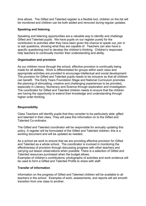time allows. The Gifted and Talented register is a flexible tool, children on the list will be monitored and children can be both added and removed during regular updates.

# Speaking and listening

Speaking and listening opportunities are a valuable way to identify and challenge Gifted and Talented pupils. We have pupils on our register purely for the contribution to activities after they have been given the chance to speak out, join in or ask questions, showing what they are capable of. Teachers can also have a specific questioning tool to develop the children's thinking. Children's responses help teachers to continually monitor their understanding and ability.

### Organisation and provision

As our children move through the school, effective provision is continually being made for all abilities. Work is differentiated for groups within each class and appropriate activities are provided to encourage intellectual and social development. The provision for Gifted and Talented pupils needs to be inclusive so that all children can benefit. The Early Years Foundation Stage and National Curriculum promotes the planning of stimulating, creative and challenging experiences to be provided, especially in Literacy, Numeracy and Science through exploration and investigation. The coordinator for Gifted and Talented children needs to ensure that the children are having the opportunity to extend their knowledge and understanding through higher order thinking.

# **Responsibility**

Class Teachers will identify pupils that they consider to be particularly able; gifted and talented in their class. They will pass this information on to the Gifted and Talented Co-ordinator.

The Gifted and Talented coordinator will be responsible for annually updating this policy. A register will be formulated of the Gifted and Talented children; this is a working document and will be updated as needed.

As a school we work to ensure that we are providing effective provision for Gifted and Talented as a whole school. The coordinator is involved in monitoring the effectiveness of provision through discussing progress with other teachers and carrying out lesson observations when possible. There is a selection of Gifted and Talented resources purchased when the budget allows.

Examples of children's contributions; photographs of activities and work evidence will be used to form a Gifted and Talented Profile to share with staff.

#### Transfer of information

Information on the progress of Gifted and Talented children will be available to all teachers in the school. Examples of work, assessments, and reports will aid smooth transition from one class to another.